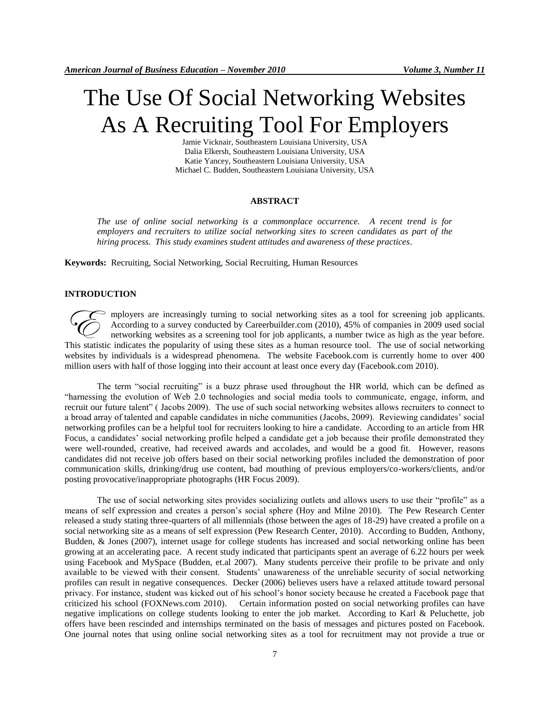# The Use Of Social Networking Websites As A Recruiting Tool For Employers

Jamie Vicknair, Southeastern Louisiana University, USA Dalia Elkersh, Southeastern Louisiana University, USA Katie Yancey, Southeastern Louisiana University, USA Michael C. Budden, Southeastern Louisiana University, USA

## **ABSTRACT**

*The use of online social networking is a commonplace occurrence. A recent trend is for employers and recruiters to utilize social networking sites to screen candidates as part of the hiring process. This study examines student attitudes and awareness of these practices*.

**Keywords:** Recruiting, Social Networking, Social Recruiting, Human Resources

## **INTRODUCTION**

mployers are increasingly turning to social networking sites as a tool for screening job applicants. According to a survey conducted by Careerbuilder.com (2010), 45% of companies in 2009 used social networking websites as a screening tool for job applicants, a number twice as high as the year before. This statistic indicates the popularity of using these sites as a human resource tool. The use of social networking vebsites as a screening tool for job applicants, a number twice as high as the year before.<br>This statistic websites by individuals is a widespread phenomena. The website Facebook.com is currently home to over 400 million users with half of those logging into their account at least once every day (Facebook.com 2010).

The term "social recruiting" is a buzz phrase used throughout the HR world, which can be defined as "harnessing the evolution of Web 2.0 technologies and social media tools to communicate, engage, inform, and recruit our future talent" ( Jacobs 2009). The use of such social networking websites allows recruiters to connect to a broad array of talented and capable candidates in niche communities (Jacobs, 2009). Reviewing candidates' social networking profiles can be a helpful tool for recruiters looking to hire a candidate. According to an article from HR Focus*,* a candidates' social networking profile helped a candidate get a job because their profile demonstrated they were well-rounded, creative, had received awards and accolades, and would be a good fit. However, reasons candidates did not receive job offers based on their social networking profiles included the demonstration of poor communication skills, drinking/drug use content, bad mouthing of previous employers/co-workers/clients, and/or posting provocative/inappropriate photographs (HR Focus 2009).

The use of social networking sites provides socializing outlets and allows users to use their "profile" as a means of self expression and creates a person's social sphere (Hoy and Milne 2010). The Pew Research Center released a study stating three-quarters of all millennials (those between the ages of 18-29) have created a profile on a social networking site as a means of self expression (Pew Research Center, 2010). According to Budden, Anthony, Budden, & Jones (2007), internet usage for college students has increased and social networking online has been growing at an accelerating pace. A recent study indicated that participants spent an average of 6.22 hours per week using Facebook and MySpace (Budden, et.al 2007). Many students perceive their profile to be private and only available to be viewed with their consent. Students' unawareness of the unreliable security of social networking profiles can result in negative consequences. Decker (2006) believes users have a relaxed attitude toward personal privacy. For instance, student was kicked out of his school's honor society because he created a Facebook page that criticized his school (FOXNews.com 2010). Certain information posted on social networking profiles can have negative implications on college students looking to enter the job market. According to Karl & Peluchette, job offers have been rescinded and internships terminated on the basis of messages and pictures posted on Facebook. One journal notes that using online social networking sites as a tool for recruitment may not provide a true or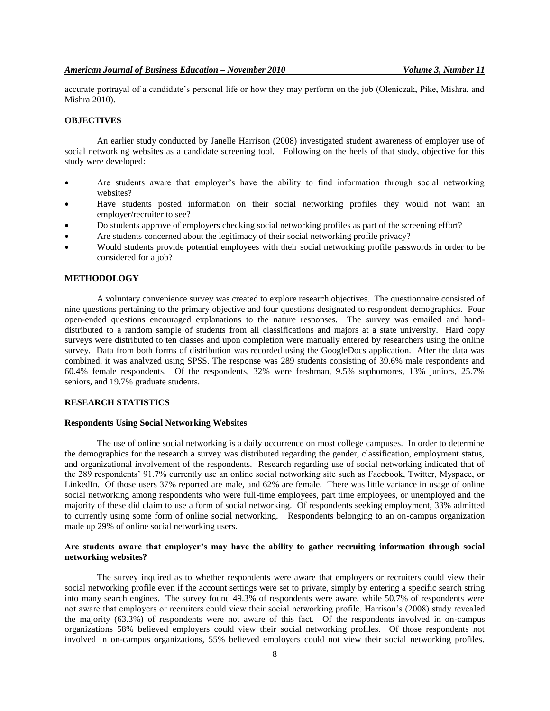accurate portrayal of a candidate's personal life or how they may perform on the job (Oleniczak, Pike, Mishra, and Mishra 2010).

### **OBJECTIVES**

An earlier study conducted by Janelle Harrison (2008) investigated student awareness of employer use of social networking websites as a candidate screening tool. Following on the heels of that study, objective for this study were developed:

- Are students aware that employer's have the ability to find information through social networking websites?
- Have students posted information on their social networking profiles they would not want an employer/recruiter to see?
- Do students approve of employers checking social networking profiles as part of the screening effort?
- Are students concerned about the legitimacy of their social networking profile privacy?
- Would students provide potential employees with their social networking profile passwords in order to be considered for a job?

## **METHODOLOGY**

A voluntary convenience survey was created to explore research objectives. The questionnaire consisted of nine questions pertaining to the primary objective and four questions designated to respondent demographics. Four open-ended questions encouraged explanations to the nature responses. The survey was emailed and handdistributed to a random sample of students from all classifications and majors at a state university. Hard copy surveys were distributed to ten classes and upon completion were manually entered by researchers using the online survey. Data from both forms of distribution was recorded using the GoogleDocs application. After the data was combined, it was analyzed using SPSS. The response was 289 students consisting of 39.6% male respondents and 60.4% female respondents. Of the respondents, 32% were freshman, 9.5% sophomores, 13% juniors, 25.7% seniors, and 19.7% graduate students.

## **RESEARCH STATISTICS**

#### **Respondents Using Social Networking Websites**

The use of online social networking is a daily occurrence on most college campuses. In order to determine the demographics for the research a survey was distributed regarding the gender, classification, employment status, and organizational involvement of the respondents. Research regarding use of social networking indicated that of the 289 respondents' 91.7% currently use an online social networking site such as Facebook, Twitter, Myspace, or LinkedIn. Of those users 37% reported are male, and 62% are female. There was little variance in usage of online social networking among respondents who were full-time employees, part time employees, or unemployed and the majority of these did claim to use a form of social networking. Of respondents seeking employment, 33% admitted to currently using some form of online social networking. Respondents belonging to an on-campus organization made up 29% of online social networking users.

## **Are students aware that employer's may have the ability to gather recruiting information through social networking websites?**

The survey inquired as to whether respondents were aware that employers or recruiters could view their social networking profile even if the account settings were set to private, simply by entering a specific search string into many search engines. The survey found 49.3% of respondents were aware, while 50.7% of respondents were not aware that employers or recruiters could view their social networking profile. Harrison's (2008) study revealed the majority (63.3%) of respondents were not aware of this fact. Of the respondents involved in on-campus organizations 58% believed employers could view their social networking profiles. Of those respondents not involved in on-campus organizations, 55% believed employers could not view their social networking profiles.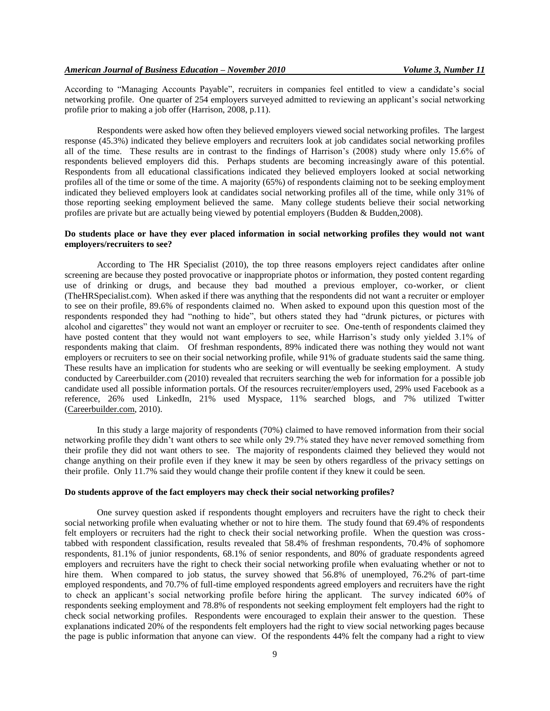According to "Managing Accounts Payable", recruiters in companies feel entitled to view a candidate's social networking profile. One quarter of 254 employers surveyed admitted to reviewing an applicant's social networking profile prior to making a job offer (Harrison, 2008, p.11).

Respondents were asked how often they believed employers viewed social networking profiles. The largest response (45.3%) indicated they believe employers and recruiters look at job candidates social networking profiles all of the time. These results are in contrast to the findings of Harrison's (2008) study where only 15.6% of respondents believed employers did this. Perhaps students are becoming increasingly aware of this potential. Respondents from all educational classifications indicated they believed employers looked at social networking profiles all of the time or some of the time. A majority (65%) of respondents claiming not to be seeking employment indicated they believed employers look at candidates social networking profiles all of the time, while only 31% of those reporting seeking employment believed the same. Many college students believe their social networking profiles are private but are actually being viewed by potential employers (Budden & Budden,2008).

## **Do students place or have they ever placed information in social networking profiles they would not want employers/recruiters to see?**

According to The HR Specialist (2010), the top three reasons employers reject candidates after online screening are because they posted provocative or inappropriate photos or information, they posted content regarding use of drinking or drugs, and because they bad mouthed a previous employer, co-worker, or client (TheHRSpecialist.com). When asked if there was anything that the respondents did not want a recruiter or employer to see on their profile, 89.6% of respondents claimed no. When asked to expound upon this question most of the respondents responded they had "nothing to hide", but others stated they had "drunk pictures, or pictures with alcohol and cigarettes" they would not want an employer or recruiter to see. One-tenth of respondents claimed they have posted content that they would not want employers to see, while Harrison's study only yielded 3.1% of respondents making that claim. Of freshman respondents, 89% indicated there was nothing they would not want employers or recruiters to see on their social networking profile, while 91% of graduate students said the same thing. These results have an implication for students who are seeking or will eventually be seeking employment. A study conducted by Careerbuilder.com (2010) revealed that recruiters searching the web for information for a possible job candidate used all possible information portals. Of the resources recruiter/employers used, 29% used Facebook as a reference, 26% used LinkedIn, 21% used Myspace, 11% searched blogs, and 7% utilized Twitter [\(Careerbuilder.com,](http://www.careerbuilder.com/) 2010).

In this study a large majority of respondents (70%) claimed to have removed information from their social networking profile they didn't want others to see while only 29.7% stated they have never removed something from their profile they did not want others to see. The majority of respondents claimed they believed they would not change anything on their profile even if they knew it may be seen by others regardless of the privacy settings on their profile. Only 11.7% said they would change their profile content if they knew it could be seen.

### **Do students approve of the fact employers may check their social networking profiles?**

One survey question asked if respondents thought employers and recruiters have the right to check their social networking profile when evaluating whether or not to hire them. The study found that 69.4% of respondents felt employers or recruiters had the right to check their social networking profile. When the question was crosstabbed with respondent classification, results revealed that 58.4% of freshman respondents, 70.4% of sophomore respondents, 81.1% of junior respondents, 68.1% of senior respondents, and 80% of graduate respondents agreed employers and recruiters have the right to check their social networking profile when evaluating whether or not to hire them. When compared to job status, the survey showed that 56.8% of unemployed, 76.2% of part-time employed respondents, and 70.7% of full-time employed respondents agreed employers and recruiters have the right to check an applicant's social networking profile before hiring the applicant. The survey indicated 60% of respondents seeking employment and 78.8% of respondents not seeking employment felt employers had the right to check social networking profiles. Respondents were encouraged to explain their answer to the question. These explanations indicated 20% of the respondents felt employers had the right to view social networking pages because the page is public information that anyone can view. Of the respondents 44% felt the company had a right to view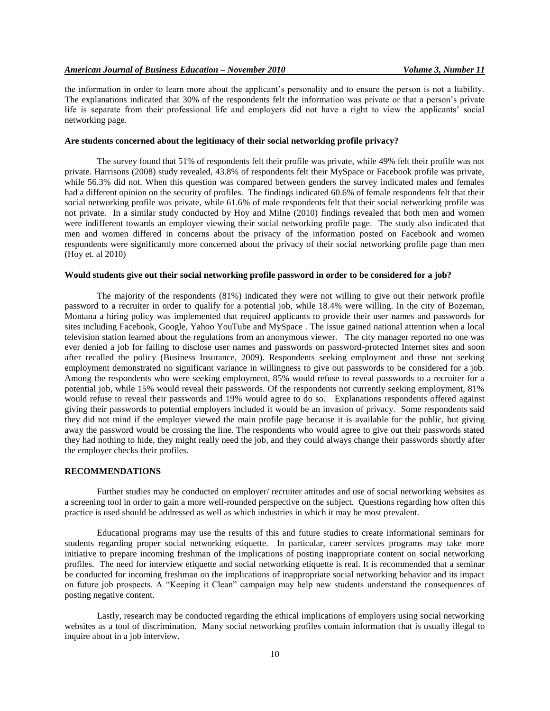the information in order to learn more about the applicant's personality and to ensure the person is not a liability. The explanations indicated that 30% of the respondents felt the information was private or that a person's private life is separate from their professional life and employers did not have a right to view the applicants' social networking page.

## **Are students concerned about the legitimacy of their social networking profile privacy?**

The survey found that 51% of respondents felt their profile was private, while 49% felt their profile was not private. Harrisons (2008) study revealed, 43.8% of respondents felt their MySpace or Facebook profile was private, while 56.3% did not. When this question was compared between genders the survey indicated males and females had a different opinion on the security of profiles. The findings indicated 60.6% of female respondents felt that their social networking profile was private, while 61.6% of male respondents felt that their social networking profile was not private. In a similar study conducted by Hoy and Milne (2010) findings revealed that both men and women were indifferent towards an employer viewing their social networking profile page. The study also indicated that men and women differed in concerns about the privacy of the information posted on Facebook and women respondents were significantly more concerned about the privacy of their social networking profile page than men (Hoy et. al 2010)

### **Would students give out their social networking profile password in order to be considered for a job?**

The majority of the respondents (81%) indicated they were not willing to give out their network profile password to a recruiter in order to qualify for a potential job, while 18.4% were willing. In the city of Bozeman, Montana a hiring policy was implemented that required applicants to provide their user names and passwords for sites including Facebook, Google, Yahoo YouTube and MySpace . The issue gained national attention when a local television station learned about the regulations from an anonymous viewer. The city manager reported no one was ever denied a job for failing to disclose user names and passwords on password-protected Internet sites and soon after recalled the policy (Business Insurance, 2009). Respondents seeking employment and those not seeking employment demonstrated no significant variance in willingness to give out passwords to be considered for a job. Among the respondents who were seeking employment, 85% would refuse to reveal passwords to a recruiter for a potential job, while 15% would reveal their passwords. Of the respondents not currently seeking employment, 81% would refuse to reveal their passwords and 19% would agree to do so. Explanations respondents offered against giving their passwords to potential employers included it would be an invasion of privacy. Some respondents said they did not mind if the employer viewed the main profile page because it is available for the public, but giving away the password would be crossing the line. The respondents who would agree to give out their passwords stated they had nothing to hide, they might really need the job, and they could always change their passwords shortly after the employer checks their profiles.

## **RECOMMENDATIONS**

Further studies may be conducted on employer/ recruiter attitudes and use of social networking websites as a screening tool in order to gain a more well-rounded perspective on the subject. Questions regarding how often this practice is used should be addressed as well as which industries in which it may be most prevalent.

Educational programs may use the results of this and future studies to create informational seminars for students regarding proper social networking etiquette. In particular, career services programs may take more initiative to prepare incoming freshman of the implications of posting inappropriate content on social networking profiles. The need for interview etiquette and social networking etiquette is real. It is recommended that a seminar be conducted for incoming freshman on the implications of inappropriate social networking behavior and its impact on future job prospects. A "Keeping it Clean" campaign may help new students understand the consequences of posting negative content.

Lastly, research may be conducted regarding the ethical implications of employers using social networking websites as a tool of discrimination. Many social networking profiles contain information that is usually illegal to inquire about in a job interview.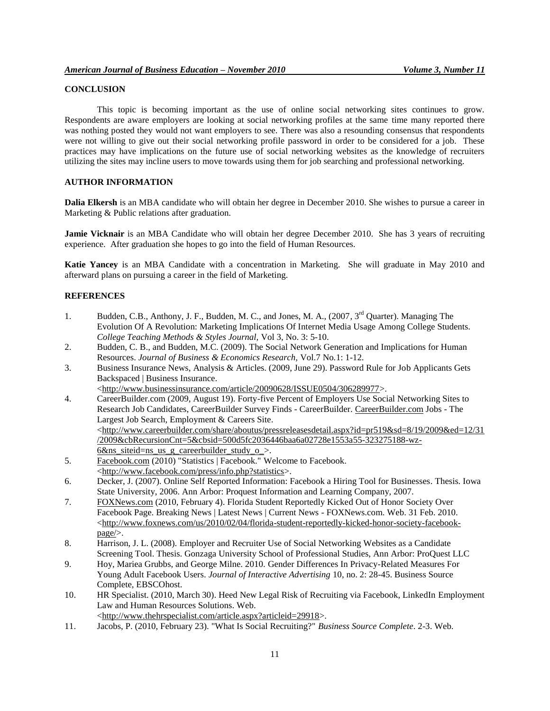# **CONCLUSION**

This topic is becoming important as the use of online social networking sites continues to grow. Respondents are aware employers are looking at social networking profiles at the same time many reported there was nothing posted they would not want employers to see. There was also a resounding consensus that respondents were not willing to give out their social networking profile password in order to be considered for a job. These practices may have implications on the future use of social networking websites as the knowledge of recruiters utilizing the sites may incline users to move towards using them for job searching and professional networking.

# **AUTHOR INFORMATION**

**Dalia Elkersh** is an MBA candidate who will obtain her degree in December 2010. She wishes to pursue a career in Marketing & Public relations after graduation.

**Jamie Vicknair** is an MBA Candidate who will obtain her degree December 2010. She has 3 years of recruiting experience. After graduation she hopes to go into the field of Human Resources.

**Katie Yancey** is an MBA Candidate with a concentration in Marketing. She will graduate in May 2010 and afterward plans on pursuing a career in the field of Marketing.

# **REFERENCES**

- 1. Budden, C.B., Anthony, J. F., Budden, M. C., and Jones, M. A., (2007, 3<sup>rd</sup> Quarter). Managing The Evolution Of A Revolution: Marketing Implications Of Internet Media Usage Among College Students. *College Teaching Methods & Styles Journal,* Vol 3, No. 3: 5-10.
- 2. Budden, C. B., and Budden, M.C. (2009). The Social Network Generation and Implications for Human Resources. *Journal of Business & Economics Research,* Vol.7 No*.*1: 1-12.
- 3. Business Insurance News, Analysis & Articles. (2009, June 29). Password Rule for Job Applicants Gets Backspaced | Business Insurance.

<http://www.businessinsurance.com/article/20090628/ISSUE0504/306289977>.

- 4. CareerBuilder.com (2009, August 19). Forty-five Percent of Employers Use Social Networking Sites to Research Job Candidates, CareerBuilder Survey Finds - CareerBuilder. CareerBuilder.com Jobs - The Largest Job Search, Employment & Careers Site. [<http://www.careerbuilder.com/share/aboutus/pressreleasesdetail.aspx?id=pr519&sd=8/19/2009&ed=12/31](http://www.careerbuilder.com/share/aboutus/pressreleasesdetail.aspx?id=pr519&sd=8/19/2009&ed=12/31/2009&cbRecursionCnt=5&cbsid=500d5fc2036446baa6a02728e1553a55-323275188-wz-6&ns_siteid=ns_us_g_careerbuilder_study_o_) [/2009&cbRecursionCnt=5&cbsid=500d5fc2036446baa6a02728e1553a55-323275188-wz-](http://www.careerbuilder.com/share/aboutus/pressreleasesdetail.aspx?id=pr519&sd=8/19/2009&ed=12/31/2009&cbRecursionCnt=5&cbsid=500d5fc2036446baa6a02728e1553a55-323275188-wz-6&ns_siteid=ns_us_g_careerbuilder_study_o_) $6&ns\_sited=ns_us_g\_career builder\_study_o>.$
- 5. Facebook.com (2010) "Statistics | Facebook." Welcome to Facebook. [<http://www.facebook.com/press/info.php?statistics>](http://www.facebook.com/press/info.php?statistics).
- 6. Decker, J. (2007). Online Self Reported Information: Facebook a Hiring Tool for Businesses. Thesis. Iowa State University, 2006. Ann Arbor: Proquest Information and Learning Company, 2007.
- 7. FOXNews.com (2010, February 4). Florida Student Reportedly Kicked Out of Honor Society Over Facebook Page. Breaking News | Latest News | Current News - FOXNews.com. Web. 31 Feb. 2010. <http://www.foxnews.com/us/2010/02/04/florida-student-reportedly-kicked-honor-society-facebookpage/>.
- 8. Harrison, J. L. (2008). Employer and Recruiter Use of Social Networking Websites as a Candidate Screening Tool. Thesis. Gonzaga University School of Professional Studies, Ann Arbor: ProQuest LLC
- 9. Hoy, Mariea Grubbs, and George Milne. 2010. Gender Differences In Privacy-Related Measures For Young Adult Facebook Users. *Journal of Interactive Advertising* 10, no. 2: 28-45. Business Source Complete, EBSCOhost.
- 10. HR Specialist. (2010, March 30). Heed New Legal Risk of Recruiting via Facebook, LinkedIn Employment Law and Human Resources Solutions. Web. [<http://www.thehrspecialist.com/article.aspx?articleid=29918>](http://www.thehrspecialist.com/article.aspx?articleid=29918).
- 11. Jacobs, P. (2010, February 23). "What Is Social Recruiting?" *Business Source Complete*. 2-3. Web.